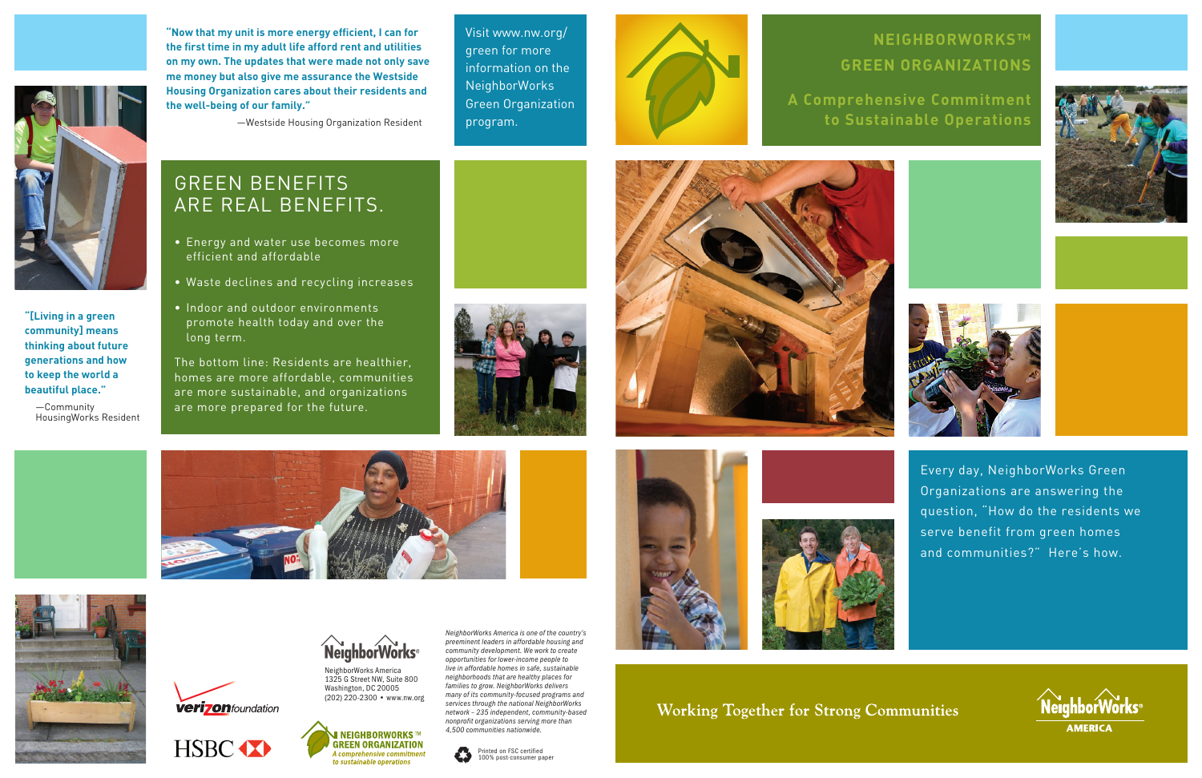- Energy and water use becomes more efficient and affordable
- Waste declines and recycling increases
- Indoor and outdoor environments promote health today and over the long term.

**verizon** foundation

HSBC **XX** 

The bottom line: Residents are healthier, homes are more affordable, communities are more sustainable, and organizations are more prepared for the future.











*NeighborWorks America is one of the country's preeminent leaders in affordable housing and community development. We work to create opportunities for lower-income people to live in affordable homes in safe, sustainable neighborhoods that are healthy places for families to grow. NeighborWorks delivers many of its community-focused programs and services through the national NeighborWorks network – 235 independent, community-based nonprofit organizations serving more than 4,500 communities nationwide.* 

NeighborWorks America 1325 G Street NW, Suite 800 Washington, DC 20005 (202) 220-2300 • www.nw.org











**Working Together for Strong Communities** 

Visit www.nw.org/ green for more information on the NeighborWorks Green Organization program.



**"Now that my unit is more energy efficient, I can for the first time in my adult life afford rent and utilities on my own. The updates that were made not only save me money but also give me assurance the Westside Housing Organization cares about their residents and the well-being of our family."**

—Westside Housing Organization Resident



**"[Living in a green community] means thinking about future generations and how to keep the world a beautiful place."**

—Community HousingWorks Resident

## **NeighborWorks™ Green Organizations**





**A Comprehensive Commitment to Sustainable Operations**

## Green benefits ARE REAL BENEFITS.